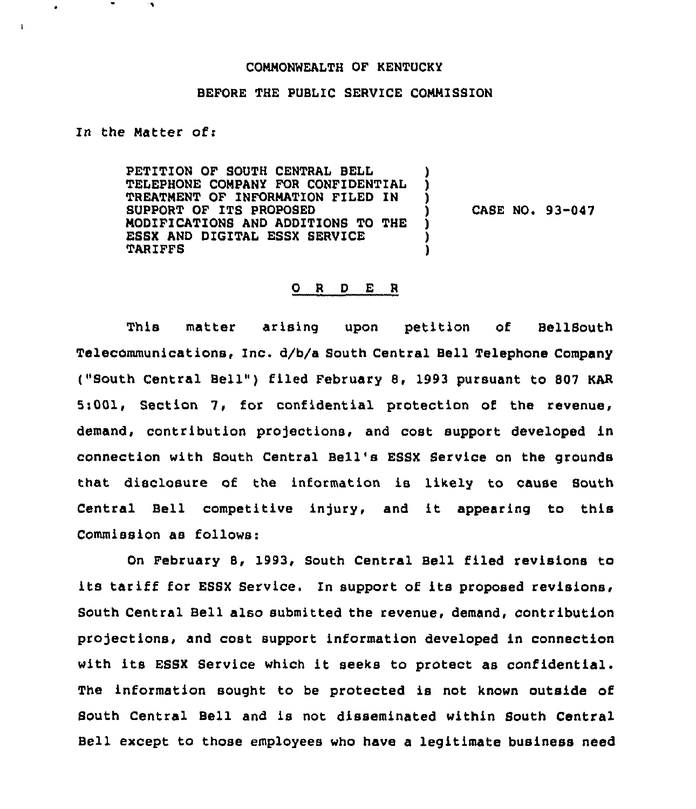## COMMONWEALTH OF KENTUCKY

## BEFORE THE PUBLIC SERVICE COMMISSION

In the Matter of:

 $\mathbf{I}$ 

PETITION OF SOUTH CENTRAL BELL TELEPHONE COMPANY FOR CONFIDENTIAL TREATMENT OF INFORMATION FILED IN SUPPORT OF ITS PROPOSED MODIFICATIONS AND ADDITION6 TO THE E66X AND DIGITAL E66X SERVICE **TARIFFS** ) ) ) ) CASE NO. 93-047 ) ) )

## 0 <sup>R</sup> <sup>D</sup> E <sup>R</sup>

This matter arising upon petition of BellSouth Telecommunications, Inc. d/b/a south central Bell Telephone company ("South Central Bell") filed February 8, 1993 pursuant to 807 KAR 5:001, Section 7, for confidential protection of the revenue, demand, contribution projections, and cost support developed in connection with South Central Bell's ESSX Service on the grounds that disclosure of the information is likely to cause South Central Bell competitive injury, and it appearing to this Commission as follows:

On February 6, 1993, South Central Bell filed revisions to its tariff for ESSX Service. In support of its proposed revisions, South Central Bell also submitted the revenue, demand, contribution projections, and cost support information developed in connection with its ESSX Service which it seeks to protect as confidential. The information sought to be protected is not known outside of South Central Bell and is not disseminated within South Central Bell except to those employees who have a legitimate business need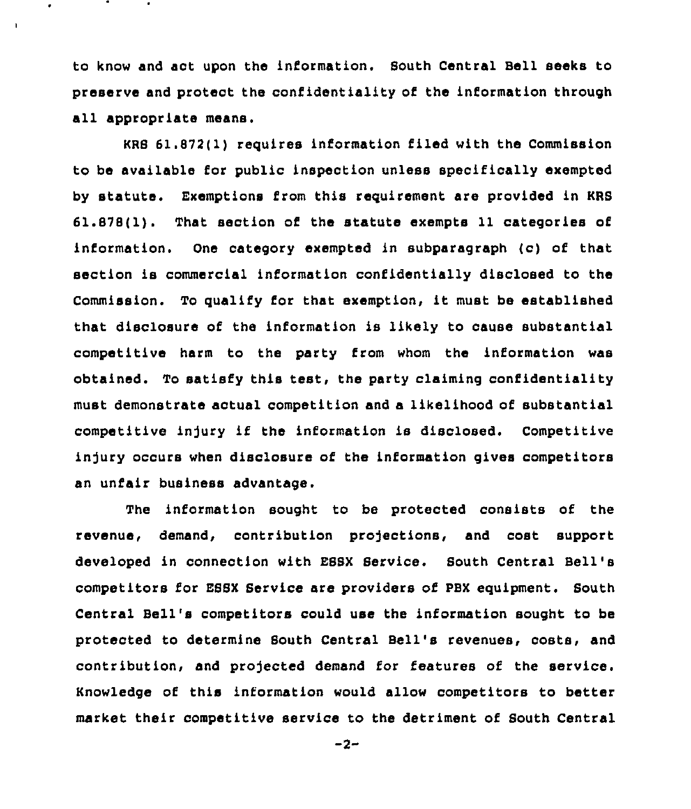to know and act upon the information. South Central Bell seeks to preserve and protect the confidentiality of the information through all appropriate means.

 $\mathbf{I}$ 

KRS 61.872(1) requires information filed with the Commission to be available for public inspection unless specifically exempted by statute. Exemptions from this requirement are provided in KRB 61.878(1). That section of the statute exempts 11 categories of information. One category exempted in subparagraph (c) of that section is commercial information confidentially disclosed to the Commission. To qualify for that exemption, it must be established that disclosure of the information is likely to cause substantial competitive harm to the party from whom the information was obtained. To satisfy this test, the party claiming confidentiality must demonstrate actual competition and a likelihood of substantial competitive injury if the information is disclosed. Competitive injury occurs when disclosure of the information gives competitors an unfair business advantage.

The information sought to be protected consists of the revenue, demand, contribution projections, and cost support developed in connection with ESSX Service. South Central Bell' competitors for ESSX Service are providers of PBX equipment. South Central Bell's competitors could use the information sought to be protected to determine South Central Bell's revenues, costs, and contribution, and projected demand for features of the service. Knowledge of this information would allow competitors to better market their competitive service to the detriment of South Central

 $-2-$